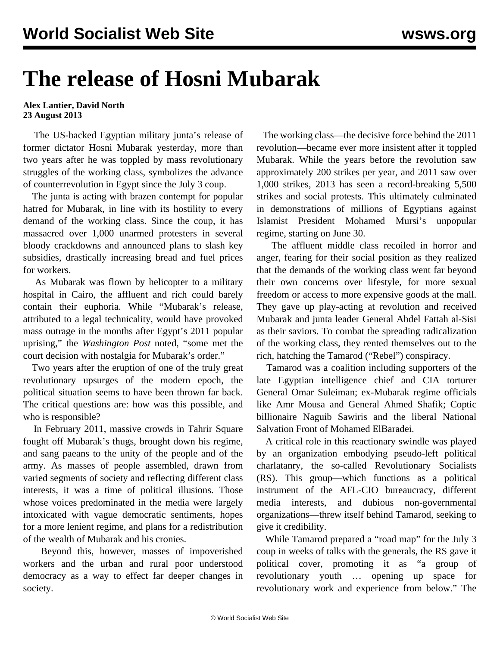## **The release of Hosni Mubarak**

## **Alex Lantier, David North 23 August 2013**

 The US-backed Egyptian military junta's release of former dictator Hosni Mubarak yesterday, more than two years after he was toppled by mass revolutionary struggles of the working class, symbolizes the advance of counterrevolution in Egypt since the July 3 coup.

 The junta is acting with brazen contempt for popular hatred for Mubarak, in line with its hostility to every demand of the working class. Since the coup, it has massacred over 1,000 unarmed protesters in several bloody crackdowns and announced plans to slash key subsidies, drastically increasing bread and fuel prices for workers.

 As Mubarak was flown by helicopter to a military hospital in Cairo, the affluent and rich could barely contain their euphoria. While "Mubarak's release, attributed to a legal technicality, would have provoked mass outrage in the months after Egypt's 2011 popular uprising," the *Washington Post* noted, "some met the court decision with nostalgia for Mubarak's order."

 Two years after the eruption of one of the truly great revolutionary upsurges of the modern epoch, the political situation seems to have been thrown far back. The critical questions are: how was this possible, and who is responsible?

 In February 2011, massive crowds in Tahrir Square fought off Mubarak's thugs, brought down his regime, and sang paeans to the unity of the people and of the army. As masses of people assembled, drawn from varied segments of society and reflecting different class interests, it was a time of political illusions. Those whose voices predominated in the media were largely intoxicated with vague democratic sentiments, hopes for a more lenient regime, and plans for a redistribution of the wealth of Mubarak and his cronies.

 Beyond this, however, masses of impoverished workers and the urban and rural poor understood democracy as a way to effect far deeper changes in society.

 The working class—the decisive force behind the 2011 revolution—became ever more insistent after it toppled Mubarak. While the years before the revolution saw approximately 200 strikes per year, and 2011 saw over 1,000 strikes, 2013 has seen a record-breaking 5,500 strikes and social protests. This ultimately culminated in demonstrations of millions of Egyptians against Islamist President Mohamed Mursi's unpopular regime, starting on June 30.

 The affluent middle class recoiled in horror and anger, fearing for their social position as they realized that the demands of the working class went far beyond their own concerns over lifestyle, for more sexual freedom or access to more expensive goods at the mall. They gave up play-acting at revolution and received Mubarak and junta leader General Abdel Fattah al-Sisi as their saviors. To combat the spreading radicalization of the working class, they rented themselves out to the rich, hatching the Tamarod ("Rebel") conspiracy.

 Tamarod was a coalition including supporters of the late Egyptian intelligence chief and CIA torturer General Omar Suleiman; ex-Mubarak regime officials like Amr Mousa and General Ahmed Shafik; Coptic billionaire Naguib Sawiris and the liberal National Salvation Front of Mohamed ElBaradei.

 A critical role in this reactionary swindle was played by an organization embodying pseudo-left political charlatanry, the so-called Revolutionary Socialists (RS). This group—which functions as a political instrument of the AFL-CIO bureaucracy, different media interests, and dubious non-governmental organizations—threw itself behind Tamarod, seeking to give it credibility.

 While Tamarod prepared a "road map" for the July 3 coup in weeks of talks with the generals, the RS [gave](http://socialistworker.org/2013/05/24/the-opposition-to-morsi) it political cover, promoting it as "a group of revolutionary youth … opening up space for revolutionary work and experience from below." The